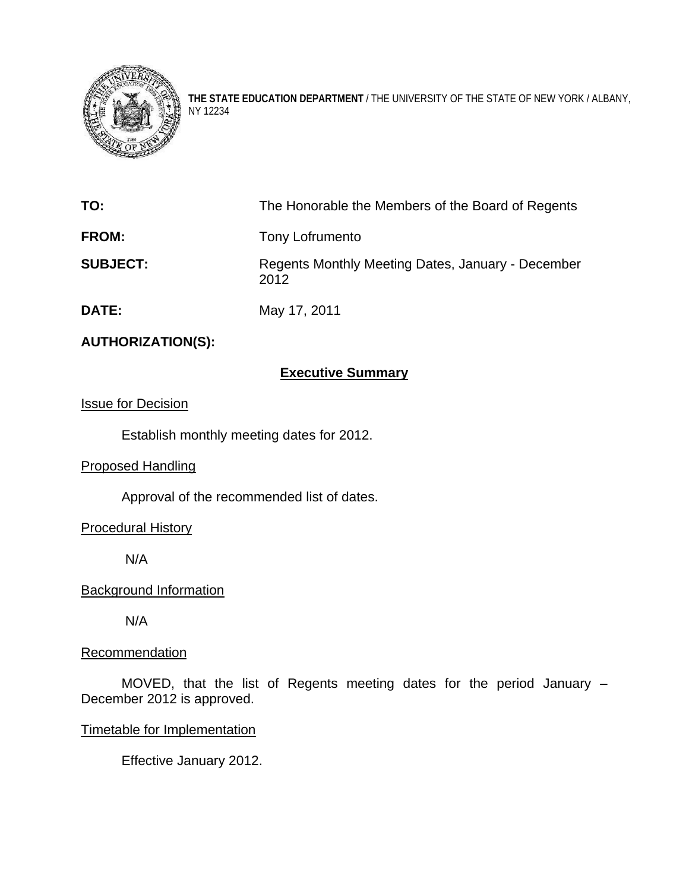

**THE STATE EDUCATION DEPARTMENT** / THE UNIVERSITY OF THE STATE OF NEW YORK / ALBANY, NY 12234

| TO:             | The Honorable the Members of the Board of Regents         |
|-----------------|-----------------------------------------------------------|
| <b>FROM:</b>    | Tony Lofrumento                                           |
| <b>SUBJECT:</b> | Regents Monthly Meeting Dates, January - December<br>2012 |
| <b>DATE:</b>    | May 17, 2011                                              |

## **AUTHORIZATION(S):**

# **Executive Summary**

### **Issue for Decision**

Establish monthly meeting dates for 2012.

### Proposed Handling

Approval of the recommended list of dates.

### Procedural History

N/A

Background Information

N/A

## **Recommendation**

 MOVED, that the list of Regents meeting dates for the period January – December 2012 is approved.

### Timetable for Implementation

Effective January 2012.